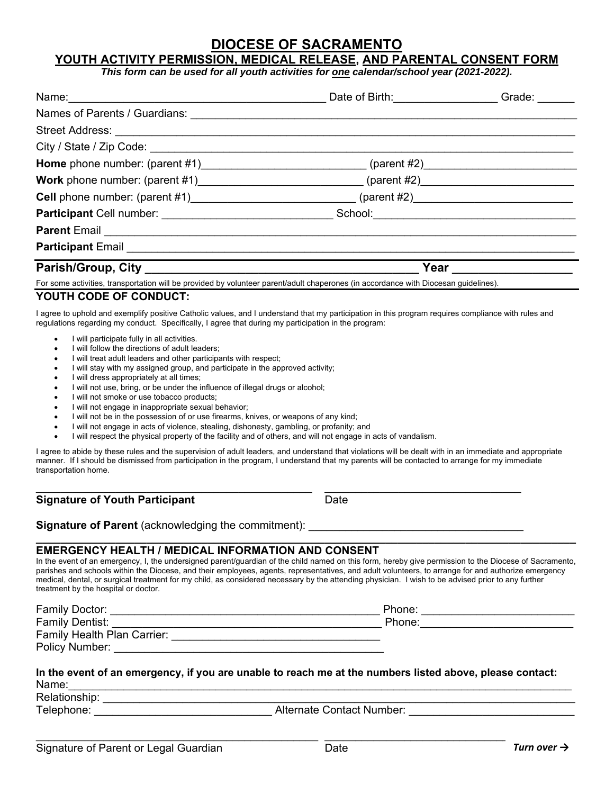# **DIOCESE OF SACRAMENTO**

## **YOUTH ACTIVITY PERMISSION, MEDICAL RELEASE, AND PARENTAL CONSENT FORM**

*This form can be used for all youth activities for one calendar/school year (2021-2022).* 

|                                                                                                                                                                                                                                                             | Date of Birth: __________________ | Grade:                                                                                                                                                                                                                             |
|-------------------------------------------------------------------------------------------------------------------------------------------------------------------------------------------------------------------------------------------------------------|-----------------------------------|------------------------------------------------------------------------------------------------------------------------------------------------------------------------------------------------------------------------------------|
|                                                                                                                                                                                                                                                             |                                   |                                                                                                                                                                                                                                    |
| Street Address: <u>Alexander Address:</u> Alexander Address: Alexander Address: Alexander Address: Alexander Address: A                                                                                                                                     |                                   |                                                                                                                                                                                                                                    |
|                                                                                                                                                                                                                                                             |                                   |                                                                                                                                                                                                                                    |
|                                                                                                                                                                                                                                                             |                                   |                                                                                                                                                                                                                                    |
|                                                                                                                                                                                                                                                             |                                   |                                                                                                                                                                                                                                    |
|                                                                                                                                                                                                                                                             |                                   |                                                                                                                                                                                                                                    |
|                                                                                                                                                                                                                                                             |                                   |                                                                                                                                                                                                                                    |
|                                                                                                                                                                                                                                                             |                                   |                                                                                                                                                                                                                                    |
|                                                                                                                                                                                                                                                             |                                   |                                                                                                                                                                                                                                    |
|                                                                                                                                                                                                                                                             |                                   | <b>Year Second Street Second Street Street Street Street Street Street Street Street Street Street Street Street Street Street Street Street Street Street Street Street Street Street Street Street Street Street Street Stre</b> |
| For some activities, transportation will be provided by volunteer parent/adult chaperones (in accordance with Diocesan guidelines).                                                                                                                         |                                   |                                                                                                                                                                                                                                    |
| YOUTH CODE OF CONDUCT:                                                                                                                                                                                                                                      |                                   |                                                                                                                                                                                                                                    |
| I agree to uphold and exemplify positive Catholic values, and I understand that my participation in this program requires compliance with rules and<br>regulations regarding my conduct. Specifically, I agree that during my participation in the program: |                                   |                                                                                                                                                                                                                                    |
| • I will participate fully in all activities.<br>I will follow the directions of adult leaders:                                                                                                                                                             |                                   |                                                                                                                                                                                                                                    |

- I will treat adult leaders and other participants with respect; I will stay with my assigned group, and participate in the approved activity;
- I will dress appropriately at all times;
- I will not use, bring, or be under the influence of illegal drugs or alcohol;
- I will not smoke or use tobacco products;
- I will not engage in inappropriate sexual behavior;
- I will not be in the possession of or use firearms, knives, or weapons of any kind;
- I will not engage in acts of violence, stealing, dishonesty, gambling, or profanity; and
- I will respect the physical property of the facility and of others, and will not engage in acts of vandalism.

I agree to abide by these rules and the supervision of adult leaders, and understand that violations will be dealt with in an immediate and appropriate manner. If I should be dismissed from participation in the program, I understand that my parents will be contacted to arrange for my immediate transportation home.

 $\mathcal{L}_\text{max}$  and  $\mathcal{L}_\text{max}$  and  $\mathcal{L}_\text{max}$  and  $\mathcal{L}_\text{max}$  and  $\mathcal{L}_\text{max}$  and  $\mathcal{L}_\text{max}$ 

#### **Signature of Youth Participant** Date

## **Signature of Parent** (acknowledging the commitment):

#### **EMERGENCY HEALTH / MEDICAL INFORMATION AND CONSENT**

In the event of an emergency, I, the undersigned parent/guardian of the child named on this form, hereby give permission to the Diocese of Sacramento, parishes and schools within the Diocese, and their employees, agents, representatives, and adult volunteers, to arrange for and authorize emergency medical, dental, or surgical treatment for my child, as considered necessary by the attending physician. I wish to be advised prior to any further treatment by the hospital or doctor.

**\_\_\_\_\_\_\_\_\_\_\_\_\_\_\_\_\_\_\_\_\_\_\_\_\_\_\_\_\_\_\_\_\_\_\_\_\_\_\_\_\_\_\_\_\_\_\_\_\_\_\_\_\_\_\_\_\_\_\_\_\_\_\_\_\_\_\_\_\_\_\_\_\_\_\_\_\_\_\_\_\_\_\_\_\_\_\_\_** 

| Family Doctor:                     | Phone: |  |
|------------------------------------|--------|--|
| <b>Family Dentist:</b>             | Phone: |  |
| <b>Family Health Plan Carrier:</b> |        |  |
| Policy Number:                     |        |  |

#### **In the event of an emergency, if you are unable to reach me at the numbers listed above, please contact:**  Name:\_\_\_\_\_\_\_\_\_\_\_\_\_\_\_\_\_\_\_\_\_\_\_\_\_\_\_\_\_\_\_\_\_\_\_\_\_\_\_\_\_\_\_\_\_\_\_\_\_\_\_\_\_\_\_\_\_\_\_\_\_\_\_\_\_\_\_\_\_\_\_\_\_\_\_\_\_\_\_\_\_\_

\_\_\_\_\_\_\_\_\_\_\_\_\_\_\_\_\_\_\_\_\_\_\_\_\_\_\_\_\_\_\_\_\_\_\_\_\_\_\_\_\_\_\_\_\_\_ \_\_\_\_\_\_\_\_\_\_\_\_\_\_\_\_\_\_\_\_\_\_\_\_\_\_\_\_\_\_\_\_\_

Relationship: \_\_\_\_\_\_\_\_\_\_\_\_\_\_\_\_\_\_\_\_\_\_\_\_\_\_\_\_\_\_\_\_\_\_\_\_\_\_\_\_\_\_\_\_\_\_\_\_\_\_\_\_\_\_\_\_\_\_\_\_\_\_\_\_\_\_\_\_\_\_\_\_\_\_\_\_\_

Telephone: \_\_\_\_\_\_\_\_\_\_\_\_\_\_\_\_\_\_\_\_\_\_\_\_\_\_\_\_\_ Alternate Contact Number: \_\_\_\_\_\_\_\_\_\_\_\_\_\_\_\_\_\_\_\_\_\_\_\_\_\_\_